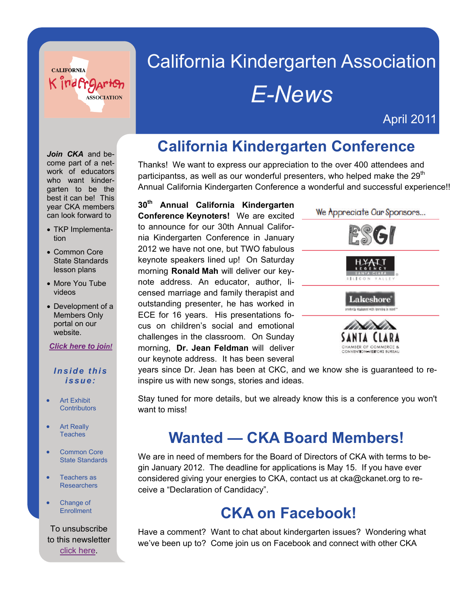

# California Kindergarten Association *E-News*

April 2011

# **California Kindergarten Conference**

Thanks! We want to express our appreciation to the over 400 attendees and participantss, as well as our wonderful presenters, who helped make the 29<sup>th</sup> Annual California Kindergarten Conference a wonderful and successful experience!!

**30th Annual California Kindergarten Conference Keynoters!** We are excited to announce for our 30th Annual California Kindergarten Conference in January 2012 we have not one, but TWO fabulous keynote speakers lined up! On Saturday morning **Ronald Mah** will deliver our keynote address. An educator, author, licensed marriage and family therapist and outstanding presenter, he has worked in ECE for 16 years. His presentations focus on children's social and emotional challenges in the classroom. On Sunday morning, **Dr. Jean Feldman** will deliver our keynote address. It has been several



years since Dr. Jean has been at CKC, and we know she is guaranteed to reinspire us with new songs, stories and ideas.

Stay tuned for more details, but we already know this is a conference you won't want to miss!

#### **Wanted — CKA Board Members!**

We are in need of members for the Board of Directors of CKA with terms to begin January 2012. The deadline for applications is May 15. If you have ever considered giving your energies to CKA, contact us at cka@ckanet.org to receive a "Declaration of Candidacy".

#### **CKA on Facebook!**

Have a comment? Want to chat about kindergarten issues? Wondering what we've been up to? Come join us on Facebook and connect with other CKA

Join CKA and become part of a network of educators who want kindergarten to be the best it can be! This year CKA members can look forward to

- TKP Implementation
- Common Core State Standards lesson plans
- More You Tube videos
- Development of a Members Only portal on our website.
- *[Click here to join](https://secure.smartwebconcepts.net/GenSites/CKA/member_app.cfm)!*

#### *Inside this issue:*

- **•** Art Exhibit **Contributors**
- Art Really **Teaches**
- **•** Common Core State Standards
- Teachers as **Researchers**
- Change of **Enrollment**

To unsubscribe to this newsletter [click here](mailto:cka@ckanet.org?subject=Unsubscribe%20to%20E-News).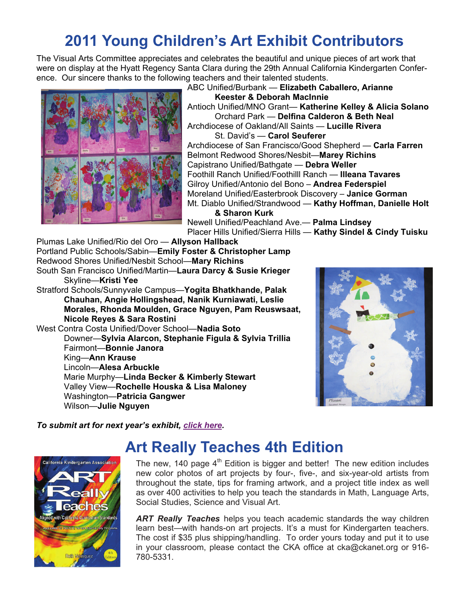## **2011 Young Children's Art Exhibit Contributors**

The Visual Arts Committee appreciates and celebrates the beautiful and unique pieces of art work that were on display at the Hyatt Regency Santa Clara during the 29th Annual California Kindergarten Conference. Our sincere thanks to the following teachers and their talented students.



ABC Unified/Burbank — **Elizabeth Caballero, Arianne Keester & Deborah MacInnie** Antioch Unified/MNO Grant— **Katherine Kelley & Alicia Solano** Orchard Park — **Delfina Calderon & Beth Neal**  Archdiocese of Oakland/All Saints — **Lucille Rivera** St. David's — **Carol Seuferer** Archdiocese of San Francisco/Good Shepherd — **Carla Farren** Belmont Redwood Shores/Nesbit—**Marey Richins** Capistrano Unified/Bathgate — **Debra Weller** Foothill Ranch Unified/Foothilll Ranch — **Illeana Tavares** Gilroy Unified/Antonio del Bono – **Andrea Federspiel** Moreland Unified/Easterbrook Discovery – **Janice Gorman** Mt. Diablo Unified/Strandwood — **Kathy Hoffman, Danielle Holt & Sharon Kurk** 

Newell Unified/Peachland Ave.— **Palma Lindsey** Placer Hills Unified/Sierra Hills — **Kathy Sindel & Cindy Tuisku**

Plumas Lake Unified/Rio del Oro — **Allyson Hallback**  Portland Public Schools/Sabin—**Emily Foster & Christopher Lamp**  Redwood Shores Unified/Nesbit School—**Mary Richins**  South San Francisco Unified/Martin—**Laura Darcy & Susie Krieger** Skyline—**Kristi Yee**  Stratford Schools/Sunnyvale Campus—**Yogita Bhatkhande, Palak Chauhan, Angie Hollingshead, Nanik Kurniawati, Leslie Morales, Rhonda Moulden, Grace Nguyen, Pam Reuswsaat, Nicole Reyes & Sara Rostini**  West Contra Costa Unified/Dover School—**Nadia Soto** Downer—**Sylvia Alarcon, Stephanie Figula & Sylvia Trillia**  Fairmont—**Bonnie Janora**  King—**Ann Krause**  Lincoln—**Alesa Arbuckle**  Marie Murphy—**Linda Becker & Kimberly Stewart** Valley View—**Rochelle Houska & Lisa Maloney**  Washington—**Patricia Gangwer**  Wilson—**Julie Nguyen** 



*To submit art for next year's exhibit, [click here](http://www.ckanet.org/special.cfm?pagenum=413).* 

# **Art Really Teaches 4th Edition**



The new, 140 page  $4<sup>th</sup>$  Edition is bigger and better! The new edition includes new color photos of art projects by four-, five-, and six-year-old artists from throughout the state, tips for framing artwork, and a project title index as well as over 400 activities to help you teach the standards in Math, Language Arts, Social Studies, Science and Visual Art.

*ART Really Teaches* helps you teach academic standards the way children learn best—with hands-on art projects. It's a must for Kindergarten teachers. The cost if \$35 plus shipping/handling. To order yours today and put it to use in your classroom, please contact the CKA office at cka@ckanet.org or 916- 780-5331.